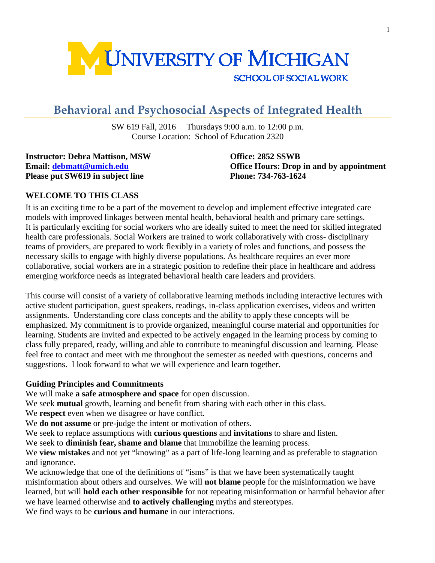

# **Behavioral and Psychosocial Aspects of Integrated Health**

SW 619 Fall, 2016 Thursdays 9:00 a.m. to 12:00 p.m. Course Location: School of Education 2320

**Instructor: Debra Mattison, MSW Office: 2852 SSWB Please put SW619 in subject line Phone: 734-763-1624** 

**Email: [debmatt@umich.edu](mailto:debmatt@umich.edu) Office Hours: Drop in and by appointment**

### **WELCOME TO THIS CLASS**

It is an exciting time to be a part of the movement to develop and implement effective integrated care models with improved linkages between mental health, behavioral health and primary care settings. It is particularly exciting for social workers who are ideally suited to meet the need for skilled integrated health care professionals. Social Workers are trained to work collaboratively with cross- disciplinary teams of providers, are prepared to work flexibly in a variety of roles and functions, and possess the necessary skills to engage with highly diverse populations. As healthcare requires an ever more collaborative, social workers are in a strategic position to redefine their place in healthcare and address emerging workforce needs as integrated behavioral health care leaders and providers.

This course will consist of a variety of collaborative learning methods including interactive lectures with active student participation, guest speakers, readings, in-class application exercises, videos and written assignments. Understanding core class concepts and the ability to apply these concepts will be emphasized. My commitment is to provide organized, meaningful course material and opportunities for learning. Students are invited and expected to be actively engaged in the learning process by coming to class fully prepared, ready, willing and able to contribute to meaningful discussion and learning. Please feel free to contact and meet with me throughout the semester as needed with questions, concerns and suggestions. I look forward to what we will experience and learn together.

#### **Guiding Principles and Commitments**

We will make **a safe atmosphere and space** for open discussion.

We seek **mutual** growth, learning and benefit from sharing with each other in this class.

We **respect** even when we disagree or have conflict.

We **do not assume** or pre-judge the intent or motivation of others.

We seek to replace assumptions with **curious questions** and **invitations** to share and listen.

We seek to **diminish fear, shame and blame** that immobilize the learning process.

We **view mistakes** and not yet "knowing" as a part of life-long learning and as preferable to stagnation and ignorance.

We acknowledge that one of the definitions of "isms" is that we have been systematically taught misinformation about others and ourselves. We will **not blame** people for the misinformation we have learned, but will **hold each other responsible** for not repeating misinformation or harmful behavior after we have learned otherwise and **to actively challenging** myths and stereotypes.

We find ways to be **curious and humane** in our interactions.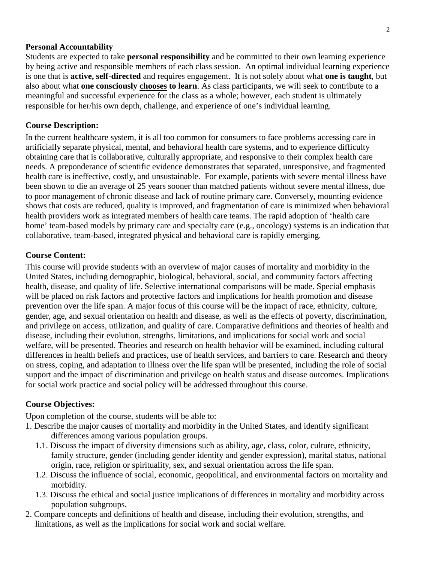#### **Personal Accountability**

Students are expected to take **personal responsibility** and be committed to their own learning experience by being active and responsible members of each class session. An optimal individual learning experience is one that is **active, self-directed** and requires engagement. It is not solely about what **one is taught**, but also about what **one consciously chooses to learn**. As class participants, we will seek to contribute to a meaningful and successful experience for the class as a whole; however, each student is ultimately responsible for her/his own depth, challenge, and experience of one's individual learning.

#### **Course Description:**

In the current healthcare system, it is all too common for consumers to face problems accessing care in artificially separate physical, mental, and behavioral health care systems, and to experience difficulty obtaining care that is collaborative, culturally appropriate, and responsive to their complex health care needs. A preponderance of scientific evidence demonstrates that separated, unresponsive, and fragmented health care is ineffective, costly, and unsustainable. For example, patients with severe mental illness have been shown to die an average of 25 years sooner than matched patients without severe mental illness, due to poor management of chronic disease and lack of routine primary care. Conversely, mounting evidence shows that costs are reduced, quality is improved, and fragmentation of care is minimized when behavioral health providers work as integrated members of health care teams. The rapid adoption of 'health care home' team-based models by primary care and specialty care (e.g., oncology) systems is an indication that collaborative, team-based, integrated physical and behavioral care is rapidly emerging.

#### **Course Content:**

This course will provide students with an overview of major causes of mortality and morbidity in the United States, including demographic, biological, behavioral, social, and community factors affecting health, disease, and quality of life. Selective international comparisons will be made. Special emphasis will be placed on risk factors and protective factors and implications for health promotion and disease prevention over the life span. A major focus of this course will be the impact of race, ethnicity, culture, gender, age, and sexual orientation on health and disease, as well as the effects of poverty, discrimination, and privilege on access, utilization, and quality of care. Comparative definitions and theories of health and disease, including their evolution, strengths, limitations, and implications for social work and social welfare, will be presented. Theories and research on health behavior will be examined, including cultural differences in health beliefs and practices, use of health services, and barriers to care. Research and theory on stress, coping, and adaptation to illness over the life span will be presented, including the role of social support and the impact of discrimination and privilege on health status and disease outcomes. Implications for social work practice and social policy will be addressed throughout this course.

#### **Course Objectives:**

Upon completion of the course, students will be able to:

- 1. Describe the major causes of mortality and morbidity in the United States, and identify significant differences among various population groups.
	- 1.1. Discuss the impact of diversity dimensions such as ability, age, class, color, culture, ethnicity, family structure, gender (including gender identity and gender expression), marital status, national origin, race, religion or spirituality, sex, and sexual orientation across the life span.
	- 1.2. Discuss the influence of social, economic, geopolitical, and environmental factors on mortality and morbidity.
	- 1.3. Discuss the ethical and social justice implications of differences in mortality and morbidity across population subgroups.
- 2. Compare concepts and definitions of health and disease, including their evolution, strengths, and limitations, as well as the implications for social work and social welfare.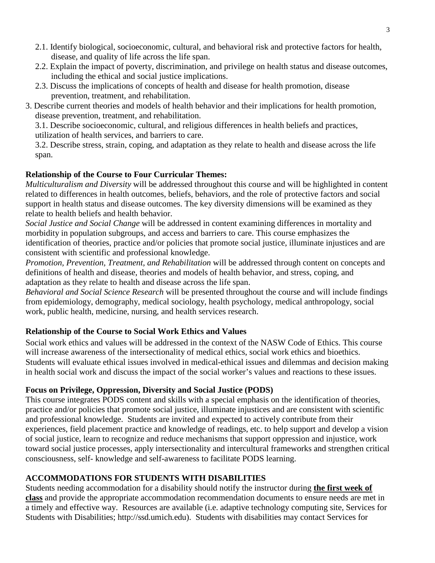- 2.1. Identify biological, socioeconomic, cultural, and behavioral risk and protective factors for health, disease, and quality of life across the life span.
- 2.2. Explain the impact of poverty, discrimination, and privilege on health status and disease outcomes, including the ethical and social justice implications.
- 2.3. Discuss the implications of concepts of health and disease for health promotion, disease prevention, treatment, and rehabilitation.
- 3. Describe current theories and models of health behavior and their implications for health promotion, disease prevention, treatment, and rehabilitation.

3.1. Describe socioeconomic, cultural, and religious differences in health beliefs and practices, utilization of health services, and barriers to care.

3.2. Describe stress, strain, coping, and adaptation as they relate to health and disease across the life span.

# **Relationship of the Course to Four Curricular Themes:**

*Multiculturalism and Diversity* will be addressed throughout this course and will be highlighted in content related to differences in health outcomes, beliefs, behaviors, and the role of protective factors and social support in health status and disease outcomes. The key diversity dimensions will be examined as they relate to health beliefs and health behavior.

*Social Justice and Social Change* will be addressed in content examining differences in mortality and morbidity in population subgroups, and access and barriers to care. This course emphasizes the identification of theories, practice and/or policies that promote social justice, illuminate injustices and are consistent with scientific and professional knowledge.

*Promotion, Prevention, Treatment, and Rehabilitation* will be addressed through content on concepts and definitions of health and disease, theories and models of health behavior, and stress, coping, and adaptation as they relate to health and disease across the life span.

*Behavioral and Social Science Research* will be presented throughout the course and will include findings from epidemiology, demography, medical sociology, health psychology, medical anthropology, social work, public health, medicine, nursing, and health services research.

# **Relationship of the Course to Social Work Ethics and Values**

Social work ethics and values will be addressed in the context of the NASW Code of Ethics. This course will increase awareness of the intersectionality of medical ethics, social work ethics and bioethics. Students will evaluate ethical issues involved in medical-ethical issues and dilemmas and decision making in health social work and discuss the impact of the social worker's values and reactions to these issues.

# **Focus on Privilege, Oppression, Diversity and Social Justice (PODS)**

This course integrates PODS content and skills with a special emphasis on the identification of theories, practice and/or policies that promote social justice, illuminate injustices and are consistent with scientific and professional knowledge. Students are invited and expected to actively contribute from their experiences, field placement practice and knowledge of readings, etc. to help support and develop a vision of social justice, learn to recognize and reduce mechanisms that support oppression and injustice, work toward social justice processes, apply intersectionality and intercultural frameworks and strengthen critical consciousness, self- knowledge and self-awareness to facilitate PODS learning.

# **ACCOMMODATIONS FOR STUDENTS WITH DISABILITIES**

Students needing accommodation for a disability should notify the instructor during **the first week of class** and provide the appropriate accommodation recommendation documents to ensure needs are met in a timely and effective way. Resources are available (i.e. adaptive technology computing site, Services for Students with Disabilities; http://ssd.umich.edu). Students with disabilities may contact Services for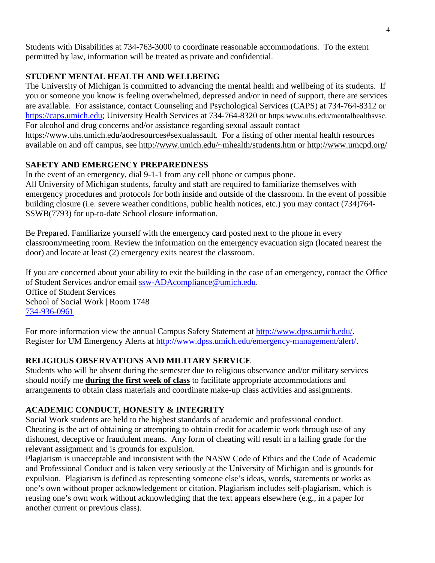Students with Disabilities at 734-763-3000 to coordinate reasonable accommodations. To the extent permitted by law, information will be treated as private and confidential.

# **STUDENT MENTAL HEALTH AND WELLBEING**

The University of Michigan is committed to advancing the mental health and wellbeing of its students. If you or someone you know is feeling overwhelmed, depressed and/or in need of support, there are services are available. For assistance, contact Counseling and Psychological Services (CAPS) at 734-764-8312 or [https://caps.umich.edu;](https://caps.umich.edu/) University Health Services at 734-764-8320 or https:www.uhs.edu/mentalhealthsvsc. For alcohol and drug concerns and/or assistance regarding sexual assault contact https://www.uhs.umich.edu/aodresources#sexualassault. For a listing of other mental health resources available on and off campus, see [http://www.umich.edu/~mhealth/students.htm](http://www.umich.edu/%7Emhealth/students.htm) or<http://www.umcpd.org/>

# **SAFETY AND EMERGENCY PREPAREDNESS**

In the event of an emergency, dial 9-1-1 from any cell phone or campus phone. All University of Michigan students, faculty and staff are required to familiarize themselves with emergency procedures and protocols for both inside and outside of the classroom. In the event of possible building closure (i.e. severe weather conditions, public health notices, etc.) you may contact (734)764- SSWB(7793) for up-to-date School closure information.

Be Prepared. Familiarize yourself with the emergency card posted next to the phone in every classroom/meeting room. Review the information on the emergency evacuation sign (located nearest the door) and locate at least (2) emergency exits nearest the classroom.

If you are concerned about your ability to exit the building in the case of an emergency, contact the Office of Student Services and/or email [ssw-ADAcompliance@umich.edu.](mailto:ssw-ADAcompliance@umich.edu) Office of Student Services School of Social Work | Room 1748 [734-936-0961](tel:734-936-0961)

For more information view the annual Campus Safety Statement at [http://www.dpss.umich.edu/.](http://www.dpss.umich.edu/) Register for UM Emergency Alerts at [http://www.dpss.umich.edu/emergency-management/alert/.](http://www.dpss.umich.edu/emergency-management/alert/)

# **RELIGIOUS OBSERVATIONS AND MILITARY SERVICE**

Students who will be absent during the semester due to religious observance and/or military services should notify me **during the first week of class** to facilitate appropriate accommodations and arrangements to obtain class materials and coordinate make-up class activities and assignments.

# **ACADEMIC CONDUCT, HONESTY & INTEGRITY**

Social Work students are held to the highest standards of academic and professional conduct. Cheating is the act of obtaining or attempting to obtain credit for academic work through use of any dishonest, deceptive or fraudulent means. Any form of cheating will result in a failing grade for the relevant assignment and is grounds for expulsion.

Plagiarism is unacceptable and inconsistent with the NASW Code of Ethics and the Code of Academic and Professional Conduct and is taken very seriously at the University of Michigan and is grounds for expulsion. Plagiarism is defined as representing someone else's ideas, words, statements or works as one's own without proper acknowledgement or citation. Plagiarism includes self-plagiarism, which is reusing one's own work without acknowledging that the text appears elsewhere (e.g., in a paper for another current or previous class).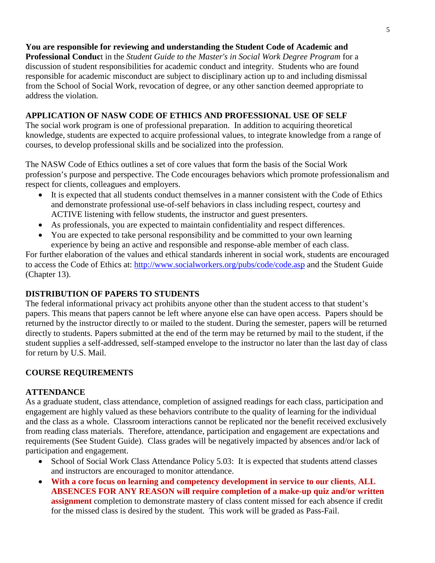# **You are responsible for reviewing and understanding the Student Code of Academic and**

**Professional Conduc**t in the *Student Guide to the Master's in Social Work Degree Program* for a discussion of student responsibilities for academic conduct and integrity. Students who are found responsible for academic misconduct are subject to disciplinary action up to and including dismissal from the School of Social Work, revocation of degree, or any other sanction deemed appropriate to address the violation.

# **APPLICATION OF NASW CODE OF ETHICS AND PROFESSIONAL USE OF SELF**

The social work program is one of professional preparation. In addition to acquiring theoretical knowledge, students are expected to acquire professional values, to integrate knowledge from a range of courses, to develop professional skills and be socialized into the profession.

The NASW Code of Ethics outlines a set of core values that form the basis of the Social Work profession's purpose and perspective. The Code encourages behaviors which promote professionalism and respect for clients, colleagues and employers.

- It is expected that all students conduct themselves in a manner consistent with the Code of Ethics and demonstrate professional use-of-self behaviors in class including respect, courtesy and ACTIVE listening with fellow students, the instructor and guest presenters.
- As professionals, you are expected to maintain confidentiality and respect differences.
- You are expected to take personal responsibility and be committed to your own learning experience by being an active and responsible and response-able member of each class.

For further elaboration of the values and ethical standards inherent in social work, students are encouraged to access the Code of Ethics at:<http://www.socialworkers.org/pubs/code/code.asp> and the Student Guide (Chapter 13).

# **DISTRIBUTION OF PAPERS TO STUDENTS**

The federal informational privacy act prohibits anyone other than the student access to that student's papers. This means that papers cannot be left where anyone else can have open access. Papers should be returned by the instructor directly to or mailed to the student. During the semester, papers will be returned directly to students. Papers submitted at the end of the term may be returned by mail to the student, if the student supplies a self-addressed, self-stamped envelope to the instructor no later than the last day of class for return by U.S. Mail.

# **COURSE REQUIREMENTS**

# **ATTENDANCE**

As a graduate student, class attendance, completion of assigned readings for each class, participation and engagement are highly valued as these behaviors contribute to the quality of learning for the individual and the class as a whole. Classroom interactions cannot be replicated nor the benefit received exclusively from reading class materials. Therefore, attendance, participation and engagement are expectations and requirements (See Student Guide). Class grades will be negatively impacted by absences and/or lack of participation and engagement.

- School of Social Work Class Attendance Policy 5.03: It is expected that students attend classes and instructors are encouraged to monitor attendance.
- **With a core focus on learning and competency development in service to our clients**, **ALL ABSENCES FOR ANY REASON will require completion of a make-up quiz and/or written assignment** completion to demonstrate mastery of class content missed for each absence if credit for the missed class is desired by the student. This work will be graded as Pass-Fail.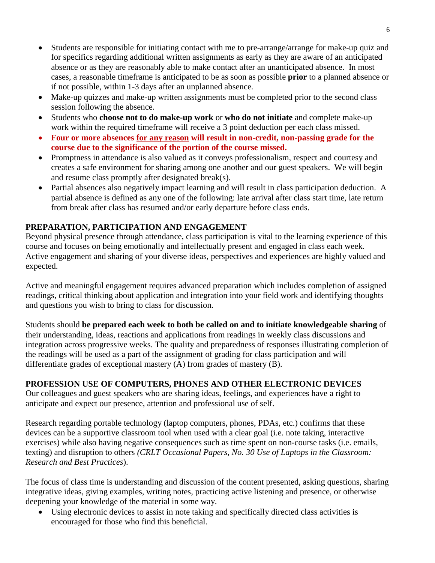- Students are responsible for initiating contact with me to pre-arrange/arrange for make-up quiz and for specifics regarding additional written assignments as early as they are aware of an anticipated absence or as they are reasonably able to make contact after an unanticipated absence. In most cases, a reasonable timeframe is anticipated to be as soon as possible **prior** to a planned absence or if not possible, within 1-3 days after an unplanned absence.
- Make-up quizzes and make-up written assignments must be completed prior to the second class session following the absence.
- Students who **choose not to do make-up work** or **who do not initiate** and complete make-up work within the required timeframe will receive a 3 point deduction per each class missed.
- **Four or more absences for any reason will result in non-credit, non-passing grade for the course due to the significance of the portion of the course missed.**
- Promptness in attendance is also valued as it conveys professionalism, respect and courtesy and creates a safe environment for sharing among one another and our guest speakers. We will begin and resume class promptly after designated break(s).
- Partial absences also negatively impact learning and will result in class participation deduction. A partial absence is defined as any one of the following: late arrival after class start time, late return from break after class has resumed and/or early departure before class ends.

# **PREPARATION, PARTICIPATION AND ENGAGEMENT**

Beyond physical presence through attendance, class participation is vital to the learning experience of this course and focuses on being emotionally and intellectually present and engaged in class each week. Active engagement and sharing of your diverse ideas, perspectives and experiences are highly valued and expected.

Active and meaningful engagement requires advanced preparation which includes completion of assigned readings, critical thinking about application and integration into your field work and identifying thoughts and questions you wish to bring to class for discussion.

Students should **be prepared each week to both be called on and to initiate knowledgeable sharing** of their understanding, ideas, reactions and applications from readings in weekly class discussions and integration across progressive weeks. The quality and preparedness of responses illustrating completion of the readings will be used as a part of the assignment of grading for class participation and will differentiate grades of exceptional mastery (A) from grades of mastery (B).

# **PROFESSION USE OF COMPUTERS, PHONES AND OTHER ELECTRONIC DEVICES**

Our colleagues and guest speakers who are sharing ideas, feelings, and experiences have a right to anticipate and expect our presence, attention and professional use of self.

Research regarding portable technology (laptop computers, phones, PDAs, etc.) confirms that these devices can be a supportive classroom tool when used with a clear goal (i.e. note taking, interactive exercises) while also having negative consequences such as time spent on non-course tasks (i.e. emails, texting) and disruption to others *(CRLT Occasional Papers, No. 30 Use of Laptops in the Classroom: Research and Best Practices*).

The focus of class time is understanding and discussion of the content presented, asking questions, sharing integrative ideas, giving examples, writing notes, practicing active listening and presence, or otherwise deepening your knowledge of the material in some way.

• Using electronic devices to assist in note taking and specifically directed class activities is encouraged for those who find this beneficial.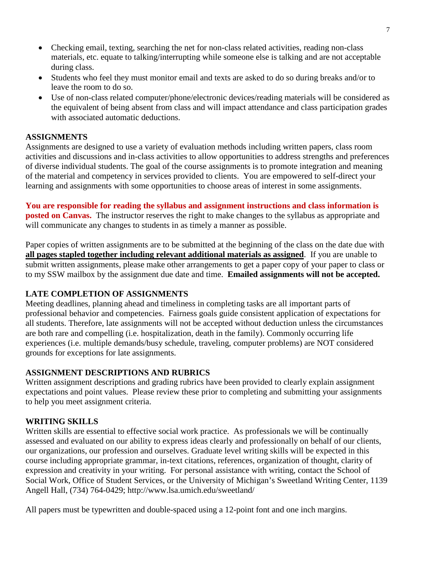- Checking email, texting, searching the net for non-class related activities, reading non-class materials, etc. equate to talking/interrupting while someone else is talking and are not acceptable during class.
- Students who feel they must monitor email and texts are asked to do so during breaks and/or to leave the room to do so.
- Use of non-class related computer/phone/electronic devices/reading materials will be considered as the equivalent of being absent from class and will impact attendance and class participation grades with associated automatic deductions.

### **ASSIGNMENTS**

Assignments are designed to use a variety of evaluation methods including written papers, class room activities and discussions and in-class activities to allow opportunities to address strengths and preferences of diverse individual students. The goal of the course assignments is to promote integration and meaning of the material and competency in services provided to clients. You are empowered to self-direct your learning and assignments with some opportunities to choose areas of interest in some assignments.

**You are responsible for reading the syllabus and assignment instructions and class information is posted on Canvas.** The instructor reserves the right to make changes to the syllabus as appropriate and will communicate any changes to students in as timely a manner as possible.

Paper copies of written assignments are to be submitted at the beginning of the class on the date due with **all pages stapled together including relevant additional materials as assigned**. If you are unable to submit written assignments, please make other arrangements to get a paper copy of your paper to class or to my SSW mailbox by the assignment due date and time. **Emailed assignments will not be accepted.** 

# **LATE COMPLETION OF ASSIGNMENTS**

Meeting deadlines, planning ahead and timeliness in completing tasks are all important parts of professional behavior and competencies. Fairness goals guide consistent application of expectations for all students. Therefore, late assignments will not be accepted without deduction unless the circumstances are both rare and compelling (i.e. hospitalization, death in the family). Commonly occurring life experiences (i.e. multiple demands/busy schedule, traveling, computer problems) are NOT considered grounds for exceptions for late assignments.

# **ASSIGNMENT DESCRIPTIONS AND RUBRICS**

Written assignment descriptions and grading rubrics have been provided to clearly explain assignment expectations and point values. Please review these prior to completing and submitting your assignments to help you meet assignment criteria.

# **WRITING SKILLS**

Written skills are essential to effective social work practice. As professionals we will be continually assessed and evaluated on our ability to express ideas clearly and professionally on behalf of our clients, our organizations, our profession and ourselves. Graduate level writing skills will be expected in this course including appropriate grammar, in-text citations, references, organization of thought, clarity of expression and creativity in your writing. For personal assistance with writing, contact the School of Social Work, Office of Student Services, or the University of Michigan's Sweetland Writing Center, 1139 Angell Hall, (734) 764-0429; http://www.lsa.umich.edu/sweetland/

All papers must be typewritten and double-spaced using a 12-point font and one inch margins.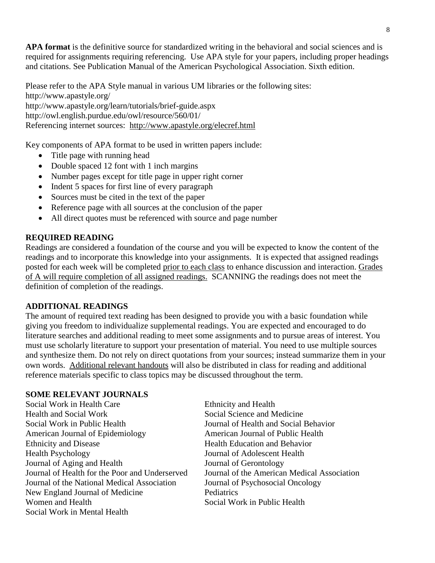**APA format** is the definitive source for standardized writing in the behavioral and social sciences and is required for assignments requiring referencing. Use APA style for your papers, including proper headings and citations. See Publication Manual of the American Psychological Association. Sixth edition.

Please refer to the APA Style manual in various UM libraries or the following sites: http://www.apastyle.org/ http://www.apastyle.org/learn/tutorials/brief-guide.aspx http://owl.english.purdue.edu/owl/resource/560/01/ Referencing internet sources: http://www.apastyle.org/elecref.html

Key components of APA format to be used in written papers include:

- Title page with running head
- Double spaced 12 font with 1 inch margins
- Number pages except for title page in upper right corner
- Indent 5 spaces for first line of every paragraph
- Sources must be cited in the text of the paper
- Reference page with all sources at the conclusion of the paper
- All direct quotes must be referenced with source and page number

### **REQUIRED READING**

Readings are considered a foundation of the course and you will be expected to know the content of the readings and to incorporate this knowledge into your assignments. It is expected that assigned readings posted for each week will be completed prior to each class to enhance discussion and interaction. Grades of A will require completion of all assigned readings. SCANNING the readings does not meet the definition of completion of the readings.

### **ADDITIONAL READINGS**

The amount of required text reading has been designed to provide you with a basic foundation while giving you freedom to individualize supplemental readings. You are expected and encouraged to do literature searches and additional reading to meet some assignments and to pursue areas of interest. You must use scholarly literature to support your presentation of material. You need to use multiple sources and synthesize them. Do not rely on direct quotations from your sources; instead summarize them in your own words. Additional relevant handouts will also be distributed in class for reading and additional reference materials specific to class topics may be discussed throughout the term.

#### **SOME RELEVANT JOURNALS**

Social Work in Health Care **Ethnicity** and Health Health and Social Work Social Science and Medicine Social Work in Public Health Journal of Health and Social Behavior American Journal of Epidemiology **American Journal of Public Health** Ethnicity and Disease Health Education and Behavior Health Psychology Journal of Adolescent Health Journal of Aging and Health Journal of Gerontology Journal of Health for the Poor and Underserved Journal of the American Medical Association Journal of the National Medical Association Journal of Psychosocial Oncology New England Journal of Medicine Pediatrics Women and Health Social Work in Public Health Social Work in Mental Health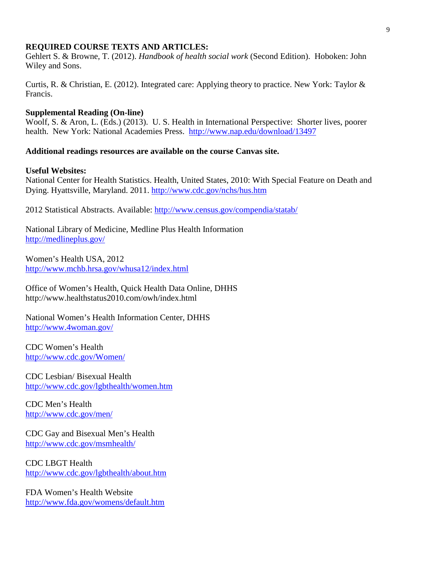#### **REQUIRED COURSE TEXTS AND ARTICLES:**

Gehlert S. & Browne, T. (2012). *Handbook of health social work* (Second Edition). Hoboken: John Wiley and Sons.

Curtis, R. & Christian, E. (2012). Integrated care: Applying theory to practice. New York: Taylor & Francis.

#### **Supplemental Reading (On-line)**

Woolf, S. & Aron, L. (Eds.) (2013). U. S. Health in International Perspective: Shorter lives, poorer health. New York: National Academies Press. <http://www.nap.edu/download/13497>

#### **Additional readings resources are available on the course Canvas site.**

#### **Useful Websites:**

National Center for Health Statistics. Health, United States, 2010: With Special Feature on Death and Dying. Hyattsville, Maryland. 2011.<http://www.cdc.gov/nchs/hus.htm>

2012 Statistical Abstracts. Available:<http://www.census.gov/compendia/statab/>

National Library of Medicine, Medline Plus Health Information <http://medlineplus.gov/>

Women's Health USA, 2012 <http://www.mchb.hrsa.gov/whusa12/index.html>

Office of Women's Health, Quick Health Data Online, DHHS http://www.healthstatus2010.com/owh/index.html

National Women's Health Information Center, DHHS <http://www.4woman.gov/>

CDC Women's Health <http://www.cdc.gov/Women/>

CDC Lesbian/ Bisexual Health <http://www.cdc.gov/lgbthealth/women.htm>

CDC Men's Health <http://www.cdc.gov/men/>

CDC Gay and Bisexual Men's Health <http://www.cdc.gov/msmhealth/>

CDC LBGT Health <http://www.cdc.gov/lgbthealth/about.htm>

FDA Women's Health Website <http://www.fda.gov/womens/default.htm>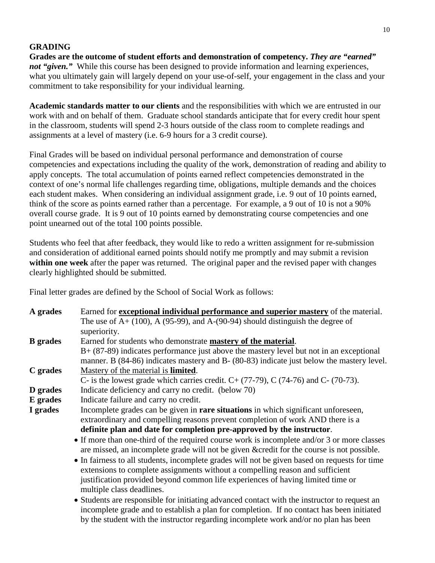# **GRADING**

**Grades are the outcome of student efforts and demonstration of competency.** *They are "earned" not "given.*" While this course has been designed to provide information and learning experiences, what you ultimately gain will largely depend on your use-of-self, your engagement in the class and your commitment to take responsibility for your individual learning.

**Academic standards matter to our clients** and the responsibilities with which we are entrusted in our work with and on behalf of them. Graduate school standards anticipate that for every credit hour spent in the classroom, students will spend 2-3 hours outside of the class room to complete readings and assignments at a level of mastery (i.e. 6-9 hours for a 3 credit course).

Final Grades will be based on individual personal performance and demonstration of course competencies and expectations including the quality of the work, demonstration of reading and ability to apply concepts. The total accumulation of points earned reflect competencies demonstrated in the context of one's normal life challenges regarding time, obligations, multiple demands and the choices each student makes. When considering an individual assignment grade, i.e. 9 out of 10 points earned, think of the score as points earned rather than a percentage. For example, a 9 out of 10 is not a 90% overall course grade. It is 9 out of 10 points earned by demonstrating course competencies and one point unearned out of the total 100 points possible.

Students who feel that after feedback, they would like to redo a written assignment for re-submission and consideration of additional earned points should notify me promptly and may submit a revision **within one week** after the paper was returned. The original paper and the revised paper with changes clearly highlighted should be submitted.

Final letter grades are defined by the School of Social Work as follows:

| A grades        | Earned for <b>exceptional individual performance and superior mastery</b> of the material.    |
|-----------------|-----------------------------------------------------------------------------------------------|
|                 | The use of $A+ (100)$ , A (95-99), and A-(90-94) should distinguish the degree of             |
|                 | superiority.                                                                                  |
| <b>B</b> grades | Earned for students who demonstrate mastery of the material.                                  |
|                 | $B+$ (87-89) indicates performance just above the mastery level but not in an exceptional     |
|                 | manner. B (84-86) indicates mastery and B- (80-83) indicate just below the mastery level.     |
| C grades        | Mastery of the material is <b>limited</b> .                                                   |
|                 | C- is the lowest grade which carries credit. $C + (77-79)$ , C (74-76) and C- (70-73).        |
| D grades        | Indicate deficiency and carry no credit. (below 70)                                           |
| E grades        | Indicate failure and carry no credit.                                                         |
| I grades        | Incomplete grades can be given in <b>rare situations</b> in which significant unforeseen,     |
|                 | extraordinary and compelling reasons prevent completion of work AND there is a                |
|                 | definite plan and date for completion pre-approved by the instructor.                         |
|                 | • If more than one-third of the required course work is incomplete and/or 3 or more classes   |
|                 | are missed, an incomplete grade will not be given & credit for the course is not possible.    |
|                 | • In fairness to all students, incomplete grades will not be given based on requests for time |
|                 | extensions to complete assignments without a compelling reason and sufficient                 |
|                 | justification provided beyond common life experiences of having limited time or               |
|                 | multiple class deadlines.                                                                     |
|                 | • Students are responsible for initiating advanced contact with the instructor to request an  |
|                 | incomplete grade and to establish a plan for completion. If no contact has been initiated     |
|                 | by the student with the instructor regarding incomplete work and/or no plan has been          |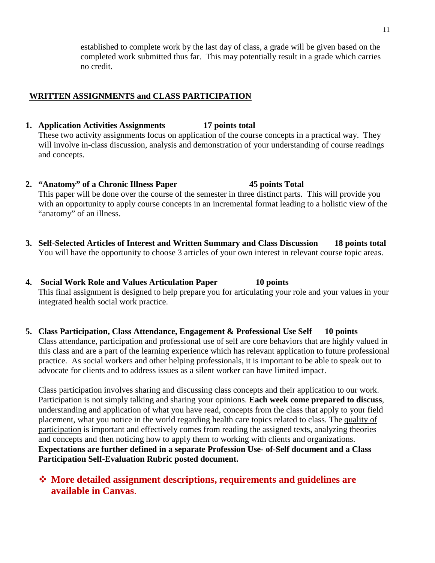established to complete work by the last day of class, a grade will be given based on the completed work submitted thus far. This may potentially result in a grade which carries no credit.

### **WRITTEN ASSIGNMENTS and CLASS PARTICIPATION**

#### **1. Application Activities Assignments 17 points total**

These two activity assignments focus on application of the course concepts in a practical way. They will involve in-class discussion, analysis and demonstration of your understanding of course readings and concepts.

- **2. "Anatomy" of a Chronic Illness Paper 45 points Total** This paper will be done over the course of the semester in three distinct parts. This will provide you with an opportunity to apply course concepts in an incremental format leading to a holistic view of the "anatomy" of an illness.
- **3. Self-Selected Articles of Interest and Written Summary and Class Discussion 18 points total** You will have the opportunity to choose 3 articles of your own interest in relevant course topic areas.
- **4. Social Work Role and Values Articulation Paper 10 points** This final assignment is designed to help prepare you for articulating your role and your values in your integrated health social work practice.
- **5. Class Participation, Class Attendance, Engagement & Professional Use Self 10 points** Class attendance, participation and professional use of self are core behaviors that are highly valued in this class and are a part of the learning experience which has relevant application to future professional practice. As social workers and other helping professionals, it is important to be able to speak out to advocate for clients and to address issues as a silent worker can have limited impact.

Class participation involves sharing and discussing class concepts and their application to our work. Participation is not simply talking and sharing your opinions. **Each week come prepared to discuss**, understanding and application of what you have read, concepts from the class that apply to your field placement, what you notice in the world regarding health care topics related to class. The quality of participation is important and effectively comes from reading the assigned texts, analyzing theories and concepts and then noticing how to apply them to working with clients and organizations. **Expectations are further defined in a separate Profession Use- of-Self document and a Class Participation Self-Evaluation Rubric posted document.**

# **More detailed assignment descriptions, requirements and guidelines are available in Canvas**.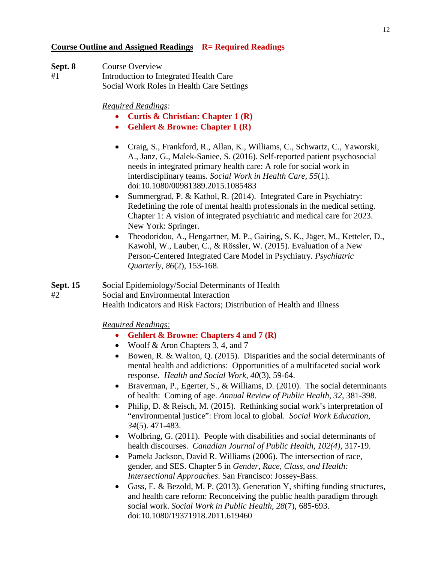#### **Course Outline and Assigned Readings R= Required Readings**

| Sept. 8 | Course Overview                           |
|---------|-------------------------------------------|
| #1      | Introduction to Integrated Health Care    |
|         | Social Work Roles in Health Care Settings |

*Required Readings:*

- **Curtis & Christian: Chapter 1 (R)**
- **Gehlert & Browne: Chapter 1 (R)**
- Craig, S., Frankford, R., Allan, K., Williams, C., Schwartz, C., Yaworski, A., Janz, G., Malek-Saniee, S. (2016). Self-reported patient psychosocial needs in integrated primary health care: A role for social work in interdisciplinary teams. *Social Work in Health Care, 55*(1). doi:10.1080/00981389.2015.1085483
- Summergrad, P. & Kathol, R. (2014). Integrated Care in Psychiatry: Redefining the role of mental health professionals in the medical setting. Chapter 1: A vision of integrated psychiatric and medical care for 2023. New York: Springer.
- Theodoridou, A., Hengartner, M. P., Gairing, S. K., Jäger, M., Ketteler, D., Kawohl, W., Lauber, C., & Rössler, W. (2015). Evaluation of a New Person-Centered Integrated Care Model in Psychiatry. *Psychiatric Quarterly, 86*(2), 153-168.

**Sept. 15 S**ocial Epidemiology/Social Determinants of Health #2 Social and Environmental Interaction Health Indicators and Risk Factors; Distribution of Health and Illness

- **Gehlert & Browne: Chapters 4 and 7 (R)**
- Woolf & Aron Chapters 3, 4, and 7
- Bowen, R. & Walton, Q. (2015). Disparities and the social determinants of mental health and addictions: Opportunities of a multifaceted social work response. *Health and Social Work, 40*(3), 59-64.
- Braverman, P., Egerter, S., & Williams, D. (2010). The social determinants of health: Coming of age. *Annual Review of Public Health, 32*, 381-398.
- Philip, D. & Reisch, M. (2015). Rethinking social work's interpretation of "environmental justice": From local to global. *Social Work Education, 34*(5). 471-483.
- Wolbring, G. (2011). People with disabilities and social determinants of health discourses. *Canadian Journal of Public Health, 102(4)*, 317-19.
- Pamela Jackson, David R. Williams (2006). The intersection of race, gender, and SES. Chapter 5 in *Gender, Race, Class, and Health: Intersectional Approaches*. San Francisco: Jossey-Bass.
- Gass, E. & Bezold, M. P. (2013). Generation Y, shifting funding structures, and health care reform: Reconceiving the public health paradigm through social work. *Social Work in Public Health, 28*(7), 685-693. doi:10.1080/19371918.2011.619460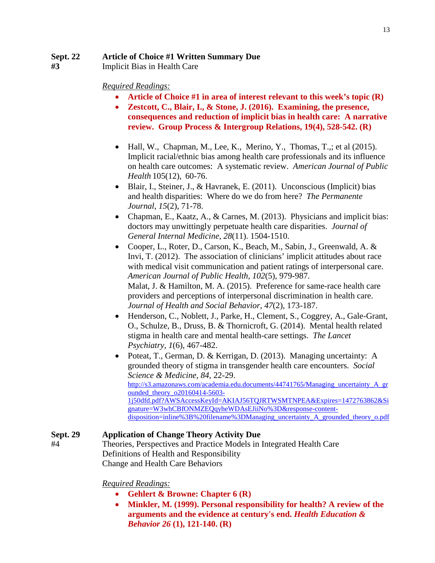### **Sept. 22 Article of Choice #1 Written Summary Due**

 **#3** Implicit Bias in Health Care

### *Required Readings:*

- **Article of Choice #1 in area of interest relevant to this week's topic (R)**
- **Zestcott, C., Blair, I., & Stone, J. (2016). Examining, the presence, consequences and reduction of implicit bias in health care: A narrative review. Group Process & Intergroup Relations, 19(4), 528-542. (R)**
- [Hall, W.,](http://search.proquest.com.proxy.lib.umich.edu/indexinglinkhandler/sng/au/Hall,+William+J/$N?accountid=14667) [Chapman, M.,](http://search.proquest.com.proxy.lib.umich.edu/indexinglinkhandler/sng/au/Chapman,+Mimi+V/$N?accountid=14667) [Lee, K.,](http://search.proquest.com.proxy.lib.umich.edu/indexinglinkhandler/sng/au/Lee,+Kent+M/$N?accountid=14667) [Merino, Y.](http://search.proquest.com.proxy.lib.umich.edu/indexinglinkhandler/sng/au/Merino,+Yesenia+M/$N?accountid=14667), [Thomas, T.,;](http://search.proquest.com.proxy.lib.umich.edu/indexinglinkhandler/sng/au/Thomas,+Tainayah+W/$N?accountid=14667) et al (2015). Implicit racial/ethnic bias among health care professionals and its influence on health care outcomes: A systematic review. *[American Journal of Public](http://search.proquest.com.proxy.lib.umich.edu/pubidlinkhandler/sng/pubtitle/American+Journal+of+Public+Health/$N/41804/PrintViewFile/1733897452/$B/C5832BDEEBEB4508PQ/1?accountid=14667)  [Health](http://search.proquest.com.proxy.lib.umich.edu/pubidlinkhandler/sng/pubtitle/American+Journal+of+Public+Health/$N/41804/PrintViewFile/1733897452/$B/C5832BDEEBEB4508PQ/1?accountid=14667)* [105\(12\),](http://search.proquest.com.proxy.lib.umich.edu/indexingvolumeissuelinkhandler/41804/American+Journal+of+Public+Health/02015Y12Y01$23Dec+2015$3b++Vol.+105+$2812$29/105/12?accountid=14667) 60-76.
- Blair, I., Steiner, J., & Havranek, E. (2011). Unconscious (Implicit) bias and health disparities: Where do we do from here? *The Permanente Journal, 15*(2), 71-78.
- Chapman, E., Kaatz, A., & Carnes, M. (2013). Physicians and implicit bias: doctors may unwittingly perpetuate health care disparities. *Journal of General Internal Medicine*, *28*(11). 1504-1510.
- Cooper, L., Roter, D., Carson, K., Beach, M., Sabin, J., Greenwald, A. & Invi, T. (2012). The association of clinicians' implicit attitudes about race with medical visit communication and patient ratings of interpersonal care. *American Journal of Public Health, 102*(5), 979-987. Malat, J. & Hamilton, M. A. (2015). Preference for same-race health care providers and perceptions of interpersonal discrimination in health care. *Journal of Health and Social Behavior, 47*(2), 173-187.
- Henderson, C., Noblett, J., Parke, H., Clement, S., Coggrey, A., Gale-Grant, O., Schulze, B., Druss, B. & Thornicroft, G. (2014). Mental health related stigma in health care and mental health-care settings. *The Lancet Psychiatry, 1*(6), 467-482.
- Poteat, T., German, D. & Kerrigan, D. (2013). Managing uncertainty: A grounded theory of stigma in transgender health care encounters. *Social Science & Medicine, 84*, 22-29. [http://s3.amazonaws.com/academia.edu.documents/44741765/Managing\\_uncertainty\\_A\\_gr](http://s3.amazonaws.com/academia.edu.documents/44741765/Managing_uncertainty_A_grounded_theory_o20160414-5603-1j50dfd.pdf?AWSAccessKeyId=AKIAJ56TQJRTWSMTNPEA&Expires=1472763862&Signature=W3whCBfONMZEQqyheWDAsEJiiNo%3D&response-content-disposition=inline%3B%20filename%3DManaging_uncertainty_A_grounded_theory_o.pdf) ounded theory  $o20160414-5603-$ [1j50dfd.pdf?AWSAccessKeyId=AKIAJ56TQJRTWSMTNPEA&Expires=1472763862&Si](http://s3.amazonaws.com/academia.edu.documents/44741765/Managing_uncertainty_A_grounded_theory_o20160414-5603-1j50dfd.pdf?AWSAccessKeyId=AKIAJ56TQJRTWSMTNPEA&Expires=1472763862&Signature=W3whCBfONMZEQqyheWDAsEJiiNo%3D&response-content-disposition=inline%3B%20filename%3DManaging_uncertainty_A_grounded_theory_o.pdf) [gnature=W3whCBfONMZEQqyheWDAsEJiiNo%3D&response-content](http://s3.amazonaws.com/academia.edu.documents/44741765/Managing_uncertainty_A_grounded_theory_o20160414-5603-1j50dfd.pdf?AWSAccessKeyId=AKIAJ56TQJRTWSMTNPEA&Expires=1472763862&Signature=W3whCBfONMZEQqyheWDAsEJiiNo%3D&response-content-disposition=inline%3B%20filename%3DManaging_uncertainty_A_grounded_theory_o.pdf)[disposition=inline%3B%20filename%3DManaging\\_uncertainty\\_A\\_grounded\\_theory\\_o.pdf](http://s3.amazonaws.com/academia.edu.documents/44741765/Managing_uncertainty_A_grounded_theory_o20160414-5603-1j50dfd.pdf?AWSAccessKeyId=AKIAJ56TQJRTWSMTNPEA&Expires=1472763862&Signature=W3whCBfONMZEQqyheWDAsEJiiNo%3D&response-content-disposition=inline%3B%20filename%3DManaging_uncertainty_A_grounded_theory_o.pdf)

# **Sept. 29 Application of Change Theory Activity Due**

#4 Theories, Perspectives and Practice Models in Integrated Health Care Definitions of Health and Responsibility Change and Health Care Behaviors

- **Gehlert & Browne: Chapter 6 (R)**
- **Minkler, M. (1999). Personal responsibility for health? A review of the arguments and the evidence at century's end.** *Health Education & Behavior 26* **(1), 121-140. (R)**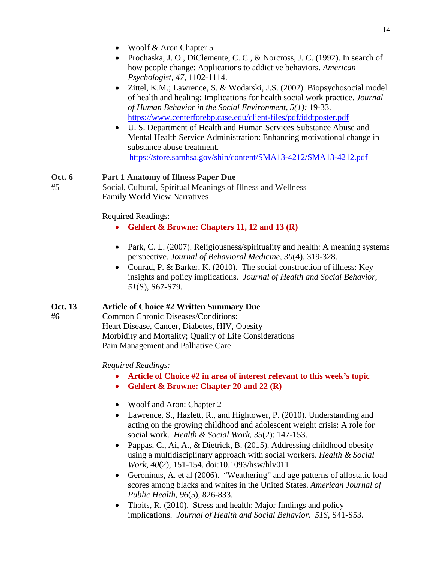- Woolf & Aron Chapter 5
- Prochaska, J. O., DiClemente, C. C., & Norcross, J. C. (1992). In search of how people change: Applications to addictive behaviors. *American Psychologist, 47*, 1102-1114.
- Zittel, K.M.; Lawrence, S. & Wodarski, J.S. (2002). Biopsychosocial model of health and healing: Implications for health social work practice. *Journal of Human Behavior in the Social Environment, 5(1):* 19-33. <https://www.centerforebp.case.edu/client-files/pdf/iddtposter.pdf>
- U. S. Department of Health and Human Services Substance Abuse and Mental Health Service Administration: Enhancing motivational change in substance abuse treatment. <https://store.samhsa.gov/shin/content/SMA13-4212/SMA13-4212.pdf>

# **Oct. 6 Part 1 Anatomy of Illness Paper Due**

#5 Social, Cultural, Spiritual Meanings of Illness and Wellness Family World View Narratives

# Required Readings:

- **Gehlert & Browne: Chapters 11, 12 and 13 (R)**
- Park, C. L. (2007). Religiousness/spirituality and health: A meaning systems perspective. *Journal of Behavioral Medicine, 30*(4), 319-328.
- Conrad, P. & Barker, K. (2010). The social construction of illness: Key insights and policy implications. *Journal of Health and Social Behavior, 51*(S), S67-S79.

# **Oct. 13 Article of Choice #2 Written Summary Due**

#6 Common Chronic Diseases/Conditions: Heart Disease, Cancer, Diabetes, HIV, Obesity Morbidity and Mortality; Quality of Life Considerations Pain Management and Palliative Care

- **Article of Choice #2 in area of interest relevant to this week's topic**
- **Gehlert & Browne: Chapter 20 and 22 (R)**
- Woolf and Aron: Chapter 2
- Lawrence, S., Hazlett, R., and Hightower, P. (2010). Understanding and acting on the growing childhood and adolescent weight crisis: A role for social work. *Health & Social Work*, *35*(2): 147-153.
- Pappas, C., Ai, A., & Dietrick, B. (2015). Addressing childhood obesity using a multidisciplinary approach with social workers. *Health & Social Work, 40*(2), 151-154. doi:10.1093/hsw/hlv011
- Geroninus, A. et al (2006). "Weathering" and age patterns of allostatic load scores among blacks and whites in the United States. *American Journal of Public Health, 96*(5), 826-833.
- Thoits, R. (2010). Stress and health: Major findings and policy implications. *Journal of Health and Social Behavior*. *51S*, S41-S53.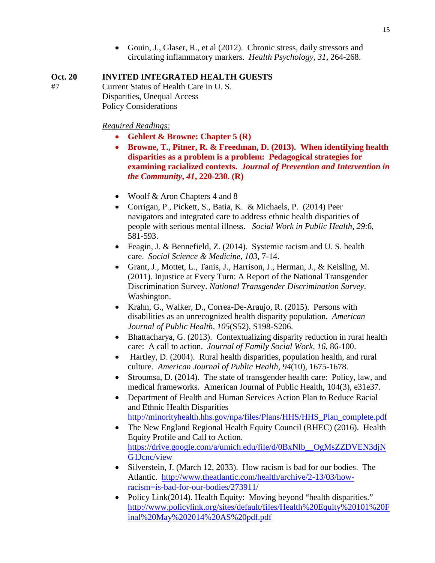• Gouin, J., Glaser, R., et al (2012). Chronic stress, daily stressors and circulating inflammatory markers. *Health Psychology, 31*, 264-268.

### **Oct. 20 INVITED INTEGRATED HEALTH GUESTS**

#7 Current Status of Health Care in U. S. Disparities, Unequal Access Policy Considerations

- **Gehlert & Browne: Chapter 5 (R)**
- **Browne, T., Pitner, R. & Freedman, D. (2013). When identifying health disparities as a problem is a problem: Pedagogical strategies for examining racialized contexts.** *Journal of Prevention and Intervention in the Community***,** *41***, 220-230. (R)**
- Woolf & Aron Chapters 4 and 8
- Corrigan, P., Pickett, S., Batia, K. & Michaels, P. (2014) Peer navigators and integrated care to address ethnic health disparities of people with serious mental illness. *Social Work in Public Health*, *29*:6, 581-593.
- Feagin, J. & Bennefield, Z. (2014). Systemic racism and U.S. health care. *Social Science & Medicine, 103*, 7-14.
- Grant, J., Mottet, L., Tanis, J., Harrison, J., Herman, J., & Keisling, M. (2011). Injustice at Every Turn: A Report of the National Transgender Discrimination Survey. *National Transgender Discrimination Survey*. Washington.
- Krahn, G., Walker, D., Correa-De-Araujo, R. (2015). Persons with disabilities as an unrecognized health disparity population. *American Journal of Public Health, 105*(S52), S198-S206.
- Bhattacharya, G. (2013). Contextualizing disparity reduction in rural health care: A call to action. *Journal of Family Social Work, 16*, 86-100.
- Hartley, D. (2004). Rural health disparities, population health, and rural culture. *American Journal of Public Health, 94*(10), 1675-1678.
- Stroumsa, D. (2014). The state of transgender health care: Policy, law, and medical frameworks. American Journal of Public Health, 104(3), e31e37.
- Department of Health and Human Services Action Plan to Reduce Racial and Ethnic Health Disparities [http://minorityhealth.hhs.gov/npa/files/Plans/HHS/HHS\\_Plan\\_complete.pdf](http://minorityhealth.hhs.gov/npa/files/Plans/HHS/HHS_Plan_complete.pdf)
- The New England Regional Health Equity Council (RHEC) (2016). Health Equity Profile and Call to Action. [https://drive.google.com/a/umich.edu/file/d/0BxNlb\\_\\_OgMsZZDVEN3djN](https://drive.google.com/a/umich.edu/file/d/0BxNlb__OgMsZZDVEN3djNG1Jcnc/view) [G1Jcnc/view](https://drive.google.com/a/umich.edu/file/d/0BxNlb__OgMsZZDVEN3djNG1Jcnc/view)
- Silverstein, J. (March 12, 2033). How racism is bad for our bodies. The Atlantic. [http://www.theatlantic.com/health/archive/2-13/03/how](http://www.theatlantic.com/health/archive/2-13/03/how-racism=is-bad-for-our-bodies/273911/)[racism=is-bad-for-our-bodies/273911/](http://www.theatlantic.com/health/archive/2-13/03/how-racism=is-bad-for-our-bodies/273911/)
- Policy Link(2014). Health Equity: Moving beyond "health disparities." [http://www.policylink.org/sites/default/files/Health%20Equity%20101%20F](http://www.policylink.org/sites/default/files/Health%20Equity%20101%20Final%20May%202014%20AS%20pdf.pdf) [inal%20May%202014%20AS%20pdf.pdf](http://www.policylink.org/sites/default/files/Health%20Equity%20101%20Final%20May%202014%20AS%20pdf.pdf)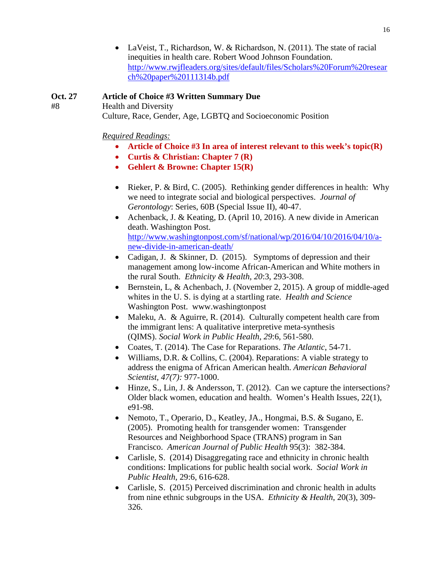• LaVeist, T., Richardson, W. & Richardson, N. (2011). The state of racial inequities in health care. Robert Wood Johnson Foundation. [http://www.rwjfleaders.org/sites/default/files/Scholars%20Forum%20resear](http://www.rwjfleaders.org/sites/default/files/Scholars%20Forum%20research%20paper%20111314b.pdf) [ch%20paper%20111314b.pdf](http://www.rwjfleaders.org/sites/default/files/Scholars%20Forum%20research%20paper%20111314b.pdf)

### **Oct. 27 Article of Choice #3 Written Summary Due**

#8 Health and Diversity Culture, Race, Gender, Age, LGBTQ and Socioeconomic Position

- **Article of Choice #3 In area of interest relevant to this week's topic(R)**
- **Curtis & Christian: Chapter 7 (R)**
- **Gehlert & Browne: Chapter 15(R)**
- Rieker, P. & Bird, C. (2005). Rethinking gender differences in health: Why we need to integrate social and biological perspectives. *Journal of Gerontology*: Series, 60B (Special Issue II), 40-47.
- Achenback, J. & Keating, D. (April 10, 2016). A new divide in American death. Washington Post. [http://www.washingtonpost.com/sf/national/wp/2016/04/10/2016/04/10/a](http://www.washingtonpost.com/sf/national/wp/2016/04/10/2016/04/10/a-new-divide-in-american-death/)[new-divide-in-american-death/](http://www.washingtonpost.com/sf/national/wp/2016/04/10/2016/04/10/a-new-divide-in-american-death/)
- Cadigan, J. & Skinner, D. (2015). Symptoms of depression and their management among low-income African-American and White mothers in the rural South. *Ethnicity & Health*, *20*:3, 293-308.
- Bernstein, L, & Achenbach, J. (November 2, 2015). A group of middle-aged whites in the U. S. is dying at a startling rate. *Health and Science* Washington Post. www.washingtonpost
- Maleku, A. & Aguirre, R. (2014). Culturally competent health care from the immigrant lens: A qualitative interpretive meta-synthesis (QIMS). *Social Work in Public Health*, *29*:6, 561-580.
- Coates, T. (2014). The Case for Reparations. *The Atlantic*, 54-71.
- Williams, D.R. & Collins, C. (2004). Reparations: A viable strategy to address the enigma of African American health. *American Behavioral Scientist, 47(7):* 977-1000.
- Hinze, S., Lin, J. & Andersson, T. (2012). Can we capture the intersections? Older black women, education and health. Women's Health Issues, 22(1), e91-98.
- Nemoto, T., Operario, D., Keatley, JA., Hongmai, B.S. & Sugano, E. (2005). Promoting health for transgender women: Transgender Resources and Neighborhood Space (TRANS) program in San Francisco. *American Journal of Public Health* 95(3): 382-384.
- Carlisle, S. (2014) Disaggregating race and ethnicity in chronic health conditions: Implications for public health social work. *Social Work in Public Health*, 29:6, 616-628.
- Carlisle, S. (2015) Perceived discrimination and chronic health in adults from nine ethnic subgroups in the USA. *Ethnicity & Health*, 20(3), 309- 326.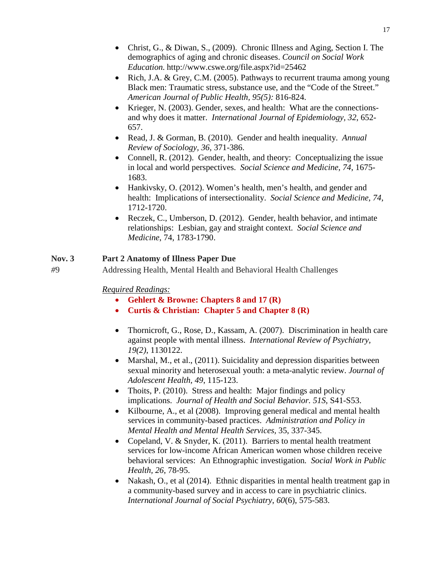- Christ, G., & Diwan, S., (2009). Chronic Illness and Aging, Section I. The demographics of aging and chronic diseases. *Council on Social Work Education.* http://www.cswe.org/file.aspx?id=25462
- Rich, J.A. & Grey, C.M. (2005). Pathways to recurrent trauma among young Black men: Traumatic stress, substance use, and the "Code of the Street." *American Journal of Public Health, 95(5):* 816-824.
- Krieger, N. (2003). Gender, sexes, and health: What are the connectionsand why does it matter. *International Journal of Epidemiology, 32*, 652- 657.
- Read, J. & Gorman, B. (2010). Gender and health inequality. *Annual Review of Sociology, 36*, 371-386.
- Connell, R. (2012). Gender, health, and theory: Conceptualizing the issue in local and world perspectives. *Social Science and Medicine, 74*, 1675- 1683.
- Hankivsky, O. (2012). Women's health, men's health, and gender and health: Implications of intersectionality. *Social Science and Medicine, 74,* 1712-1720.
- Reczek, C., Umberson, D. (2012). Gender, health behavior, and intimate relationships: Lesbian, gay and straight context. *Social Science and Medicine*, 74, 1783-1790.

# **Nov. 3 Part 2 Anatomy of Illness Paper Due**

*#*9 Addressing Health, Mental Health and Behavioral Health Challenges

- **Gehlert & Browne: Chapters 8 and 17 (R)**
- **Curtis & Christian: Chapter 5 and Chapter 8 (R)**
- Thornicroft, G., Rose, D., Kassam, A. (2007). Discrimination in health care against people with mental illness. *International Review of Psychiatry, 19(2)*, 1130122.
- Marshal, M., et al., (2011). Suicidality and depression disparities between sexual minority and heterosexual youth: a meta-analytic review. *Journal of Adolescent Health, 49*, 115-123.
- Thoits, P. (2010). Stress and health: Major findings and policy implications. *Journal of Health and Social Behavior. 51S*, S41-S53.
- Kilbourne, A., et al (2008). Improving general medical and mental health services in community-based practices. *Administration and Policy in Mental Health and Mental Health Services,* 35, 337-345.
- Copeland, V. & Snyder, K. (2011). Barriers to mental health treatment services for low-income African American women whose children receive behavioral services: An Ethnographic investigation*. Social Work in Public Health, 26*, 78-95.
- Nakash, O., et al (2014). Ethnic disparities in mental health treatment gap in a community-based survey and in access to care in psychiatric clinics. *International Journal of Social Psychiatry*, *60*(6), 575-583.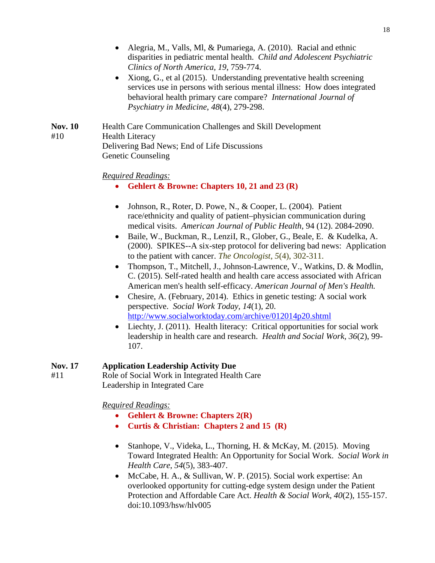- Alegria, M., Valls, Ml, & Pumariega, A. (2010). Racial and ethnic disparities in pediatric mental health. *Child and Adolescent Psychiatric Clinics of North America, 19*, 759-774.
- Xiong, G., et al (2015). Understanding preventative health screening services use in persons with serious mental illness: How does integrated behavioral health primary care compare? *International Journal of Psychiatry in Medicine*, *48*(4), 279-298.

**Nov. 10** Health Care Communication Challenges and Skill Development #10 Health Literacy Delivering Bad News; End of Life Discussions Genetic Counseling

#### *Required Readings:*

- **Gehlert & Browne: Chapters 10, 21 and 23 (R)**
- Johnson, R., Roter, D. Powe, N., & Cooper, L. (2004). Patient race/ethnicity and quality of patient–physician communication during medical visits. *American Journal of Public Health*, 94 (12). 2084-2090.
- Baile, W., Buckman, R., LenziI, R., Glober, G., Beale, E. & Kudelka, A. (2000). SPIKES--A six-step protocol for delivering bad news: Application to the patient with cancer. *The Oncologist*, *5*(4), 302-311.
- Thompson, T., Mitchell, J., Johnson-Lawrence, V., Watkins, D. & Modlin, C. (2015). Self-rated health and health care access associated with African American men's health self-efficacy. *American Journal of Men's Health.*
- Chesire, A. (February, 2014). Ethics in genetic testing: A social work perspective. *Social Work Today, 14*(1), 20. <http://www.socialworktoday.com/archive/012014p20.shtml>
- Liechty, J. (2011). Health literacy: Critical opportunities for social work leadership in health care and research. *Health and Social Work, 36*(2), 99- 107.

### **Nov. 17 Application Leadership Activity Due**

#11 Role of Social Work in Integrated Health Care Leadership in Integrated Care

- **Gehlert & Browne: Chapters 2(R)**
- **Curtis & Christian: Chapters 2 and 15 (R)**
- Stanhope, V., Videka, L., Thorning, H. & McKay, M. (2015). Moving Toward Integrated Health: An Opportunity for Social Work. *Social Work in Health Care*, *54*(5), 383-407.
- McCabe, H. A., & Sullivan, W. P. (2015). Social work expertise: An overlooked opportunity for cutting-edge system design under the Patient Protection and Affordable Care Act. *Health & Social Work, 40*(2), 155-157. doi:10.1093/hsw/hlv005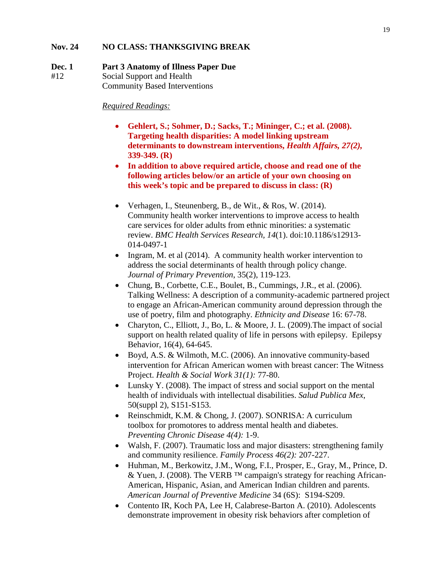### **Nov. 24 NO CLASS: THANKSGIVING BREAK**

#### **Dec. 1 Part 3 Anatomy of Illness Paper Due**

#12Social Support and Health

Community Based Interventions

- **Gehlert, S.; Sohmer, D.; Sacks, T.; Mininger, C.; et al. (2008). Targeting health disparities: A model linking upstream determinants to downstream interventions,** *Health Affairs, 27(2),*  **339-349. (R)**
- **In addition to above required article, choose and read one of the following articles below/or an article of your own choosing on this week's topic and be prepared to discuss in class: (R)**
- Verhagen, I., Steunenberg, B., de Wit., & Ros, W. (2014). Community health worker interventions to improve access to health care services for older adults from ethnic minorities: a systematic review. *BMC Health Services Research, 14*(1). doi:10.1186/s12913- 014-0497-1
- Ingram, M. et al (2014). A community health worker intervention to address the social determinants of health through policy change. *Journal of Primary Prevention*, 35(2), 119-123.
- Chung, B., Corbette, C.E., Boulet, B., Cummings, J.R., et al. (2006). Talking Wellness: A description of a community-academic partnered project to engage an African-American community around depression through the use of poetry, film and photography. *Ethnicity and Disease* 16: 67-78.
- Charyton, C., Elliott, J., Bo, L. & Moore, J. L. (2009). The impact of social support on health related quality of life in persons with epilepsy. Epilepsy Behavior, 16(4), 64-645.
- Boyd, A.S. & Wilmoth, M.C. (2006). An innovative community-based intervention for African American women with breast cancer: The Witness Project. *Health & Social Work 31(1):* 77-80.
- Lunsky Y. (2008). The impact of stress and social support on the mental health of individuals with intellectual disabilities. *Salud Publica Mex*, 50(suppl 2), S151-S153.
- Reinschmidt, K.M. & Chong, J. (2007). SONRISA: A curriculum toolbox for promotores to address mental health and diabetes. *Preventing Chronic Disease 4(4):* 1-9.
- Walsh, F. (2007). Traumatic loss and major disasters: strengthening family and community resilience. *Family Process 46(2):* 207-227.
- Huhman, M., Berkowitz, J.M., Wong, F.I., Prosper, E., Gray, M., Prince, D. & Yuen, J. (2008). The VERB ™ campaign's strategy for reaching African-American, Hispanic, Asian, and American Indian children and parents. *American Journal of Preventive Medicine* 34 (6S): S194-S209.
- Contento IR, Koch PA, Lee H, Calabrese-Barton A. (2010). Adolescents demonstrate improvement in obesity risk behaviors after completion of